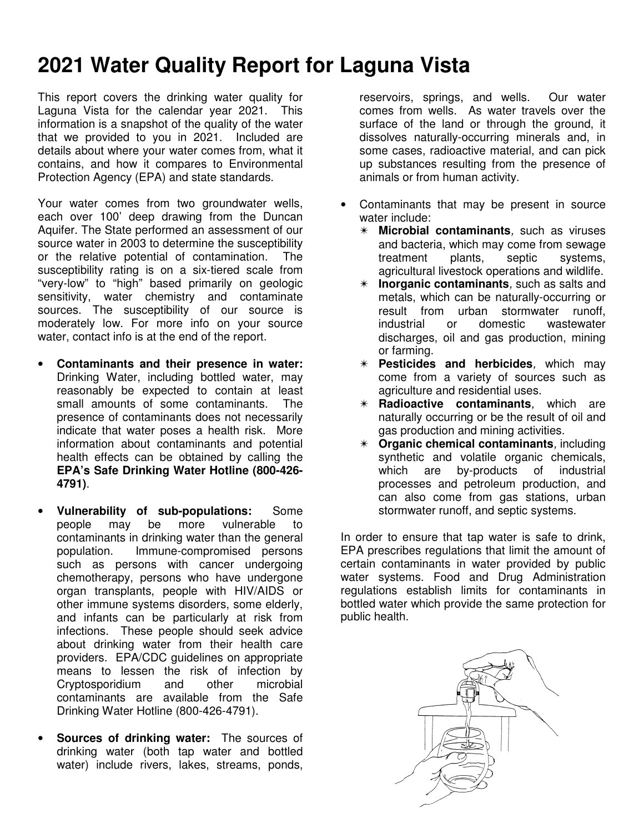## **2021 Water Quality Report for Laguna Vista**

This report covers the drinking water quality for Laguna Vista for the calendar year 2021. This information is a snapshot of the quality of the water that we provided to you in 2021. Included are details about where your water comes from, what it contains, and how it compares to Environmental Protection Agency (EPA) and state standards.

Your water comes from two groundwater wells, each over 100' deep drawing from the Duncan Aquifer. The State performed an assessment of our source water in 2003 to determine the susceptibility or the relative potential of contamination. The susceptibility rating is on a six-tiered scale from "very-low" to "high" based primarily on geologic sensitivity, water chemistry and contaminate sources. The susceptibility of our source is moderately low. For more info on your source water, contact info is at the end of the report.

- **Contaminants and their presence in water:**  Drinking Water, including bottled water, may reasonably be expected to contain at least small amounts of some contaminants. The presence of contaminants does not necessarily indicate that water poses a health risk. More information about contaminants and potential health effects can be obtained by calling the **EPA's Safe Drinking Water Hotline (800-426- 4791)**.
- **Vulnerability of sub-populations:** Some people may be more vulnerable to contaminants in drinking water than the general population. Immune-compromised persons such as persons with cancer undergoing chemotherapy, persons who have undergone organ transplants, people with HIV/AIDS or other immune systems disorders, some elderly, and infants can be particularly at risk from infections. These people should seek advice about drinking water from their health care providers. EPA/CDC guidelines on appropriate means to lessen the risk of infection by Cryptosporidium and other microbial contaminants are available from the Safe Drinking Water Hotline (800-426-4791).
- **Sources of drinking water:** The sources of drinking water (both tap water and bottled water) include rivers, lakes, streams, ponds,

reservoirs, springs, and wells. Our water comes from wells. As water travels over the surface of the land or through the ground, it dissolves naturally-occurring minerals and, in some cases, radioactive material, and can pick up substances resulting from the presence of animals or from human activity.

- Contaminants that may be present in source water include:
	- ✴ **Microbial contaminants**, such as viruses and bacteria, which may come from sewage treatment plants, septic systems, agricultural livestock operations and wildlife.
	- ✴ **Inorganic contaminants**, such as salts and metals, which can be naturally-occurring or result from urban stormwater runoff, industrial or domestic wastewater discharges, oil and gas production, mining or farming.
	- ✴ **Pesticides and herbicides**, which may come from a variety of sources such as agriculture and residential uses.
	- ✴ **Radioactive contaminants**, which are naturally occurring or be the result of oil and gas production and mining activities.
	- ✴ **Organic chemical contaminants**, including synthetic and volatile organic chemicals, which are by-products of industrial processes and petroleum production, and can also come from gas stations, urban stormwater runoff, and septic systems.

In order to ensure that tap water is safe to drink, EPA prescribes regulations that limit the amount of certain contaminants in water provided by public water systems. Food and Drug Administration regulations establish limits for contaminants in bottled water which provide the same protection for public health.

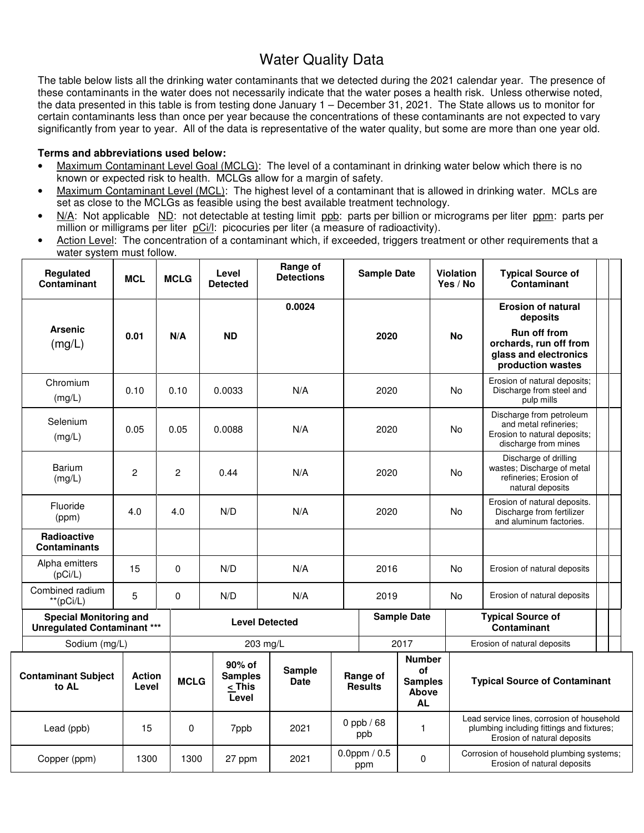## Water Quality Data

The table below lists all the drinking water contaminants that we detected during the 2021 calendar year. The presence of these contaminants in the water does not necessarily indicate that the water poses a health risk. Unless otherwise noted, the data presented in this table is from testing done January 1 – December 31, 2021. The State allows us to monitor for certain contaminants less than once per year because the concentrations of these contaminants are not expected to vary significantly from year to year. All of the data is representative of the water quality, but some are more than one year old.

## **Terms and abbreviations used below:**

- Maximum Contaminant Level Goal (MCLG): The level of a contaminant in drinking water below which there is no known or expected risk to health. MCLGs allow for a margin of safety.
- Maximum Contaminant Level (MCL): The highest level of a contaminant that is allowed in drinking water. MCLs are set as close to the MCLGs as feasible using the best available treatment technology.
- N/A: Not applicable ND: not detectable at testing limit ppb: parts per billion or micrograms per liter ppm: parts per million or milligrams per liter pCi/l: picocuries per liter (a measure of radioactivity).
- Action Level: The concentration of a contaminant which, if exceeded, triggers treatment or other requirements that a water system must follow.

|                           | <b>Regulated</b><br>Contaminant                                     | <b>MCL</b>                                                                                                                                                                                                        | <b>MCLG</b>           | Level<br><b>Detected</b>             | Range of<br><b>Detections</b> |                       | <b>Sample Date</b> |              | Violation<br>Yes / No                                                                                                  | <b>Typical Source of</b><br>Contaminant                                                                   |  |  |
|---------------------------|---------------------------------------------------------------------|-------------------------------------------------------------------------------------------------------------------------------------------------------------------------------------------------------------------|-----------------------|--------------------------------------|-------------------------------|-----------------------|--------------------|--------------|------------------------------------------------------------------------------------------------------------------------|-----------------------------------------------------------------------------------------------------------|--|--|
|                           |                                                                     |                                                                                                                                                                                                                   |                       |                                      | 0.0024                        |                       |                    |              |                                                                                                                        | <b>Erosion of natural</b><br>deposits                                                                     |  |  |
| <b>Arsenic</b><br>(mg/L)  |                                                                     | 0.01                                                                                                                                                                                                              | N/A                   | <b>ND</b>                            |                               |                       | 2020               |              | <b>No</b>                                                                                                              | <b>Run off from</b><br>orchards, run off from<br>glass and electronics<br>production wastes               |  |  |
|                           | Chromium<br>(mg/L)                                                  | 0.10                                                                                                                                                                                                              | 0.10                  | 0.0033                               | N/A                           |                       | 2020               |              | No                                                                                                                     | Erosion of natural deposits;<br>Discharge from steel and<br>pulp mills                                    |  |  |
|                           | Selenium<br>(mg/L)                                                  | 0.05                                                                                                                                                                                                              | 0.05                  | 0.0088                               | N/A                           |                       | 2020               |              | No                                                                                                                     | Discharge from petroleum<br>and metal refineries;<br>Erosion to natural deposits;<br>discharge from mines |  |  |
|                           | <b>Barium</b><br>(mg/L)                                             | $\overline{c}$                                                                                                                                                                                                    | $\overline{2}$        | 0.44                                 | N/A                           |                       | 2020               |              | No                                                                                                                     | Discharge of drilling<br>wastes; Discharge of metal<br>refineries; Erosion of<br>natural deposits         |  |  |
|                           | Fluoride<br>(ppm)                                                   | 4.0                                                                                                                                                                                                               | 4.0                   | N/D                                  | N/A                           |                       | 2020               |              | No                                                                                                                     | Erosion of natural deposits.<br>Discharge from fertilizer<br>and aluminum factories.                      |  |  |
|                           | <b>Radioactive</b><br><b>Contaminants</b>                           |                                                                                                                                                                                                                   |                       |                                      |                               |                       |                    |              |                                                                                                                        |                                                                                                           |  |  |
| Alpha emitters<br>(pCi/L) |                                                                     | 15                                                                                                                                                                                                                | $\mathbf 0$           | N/D                                  | N/A                           | 2016                  |                    | No           |                                                                                                                        | Erosion of natural deposits                                                                               |  |  |
|                           | Combined radium<br>$**$ (pCi/L)                                     | 5                                                                                                                                                                                                                 | $\Omega$              | N/D                                  | N/A                           |                       | 2019               |              | No                                                                                                                     | Erosion of natural deposits                                                                               |  |  |
|                           | <b>Special Monitoring and</b><br><b>Unregulated Contaminant ***</b> |                                                                                                                                                                                                                   | <b>Level Detected</b> |                                      |                               |                       | <b>Sample Date</b> |              | <b>Typical Source of</b><br><b>Contaminant</b>                                                                         |                                                                                                           |  |  |
|                           | Sodium (mg/L)                                                       |                                                                                                                                                                                                                   |                       |                                      | 203 mg/L                      |                       | 2017               |              |                                                                                                                        | Erosion of natural deposits                                                                               |  |  |
|                           | <b>Contaminant Subject</b><br>to AL                                 | <b>Number</b><br>90% of<br>Sample<br>οf<br><b>Action</b><br><b>Samples</b><br>Range of<br><b>MCLG</b><br><b>Date</b><br><b>Samples</b><br><b>Results</b><br>Level<br>< This<br><b>Above</b><br>Level<br><b>AL</b> |                       | <b>Typical Source of Contaminant</b> |                               |                       |                    |              |                                                                                                                        |                                                                                                           |  |  |
|                           | Lead (ppb)                                                          | 15                                                                                                                                                                                                                | 0                     | 7ppb                                 | 2021                          | 0 ppb $/68$<br>ppb    |                    | $\mathbf{1}$ | Lead service lines, corrosion of household<br>plumbing including fittings and fixtures;<br>Erosion of natural deposits |                                                                                                           |  |  |
| Copper (ppm)              |                                                                     | 1300                                                                                                                                                                                                              | 1300<br>27 ppm        |                                      | 2021                          | 0.0ppm $/ 0.5$<br>ppm |                    | $\Omega$     | Corrosion of household plumbing systems;<br>Erosion of natural deposits                                                |                                                                                                           |  |  |